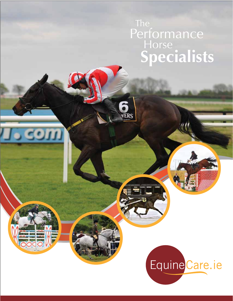# The Performance Horse **Specialists**

**VERS** 

om

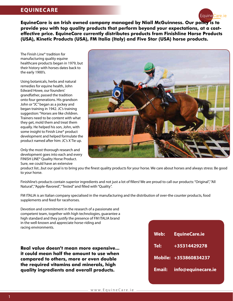## **EQUINECARE**



**EquineCare is an Irish owned company managed by Niall McGuinness. Our policy is to provide you with top quality products that perform beyond your expectations, at a costeffective price. EquineCare currently distributes products from Finishline Horse Products (USA), Kinetic Products (USA), FM Italia (Italy) and Five Star (USA) horse products.**

The Finish Line® tradition for manufacturing quality equine healthcare products began in 1979, but their history with horses dates back to the early 1900's.

Using botanicals, herbs and natural remedies for equine health, John Edward Howe, our founders' grandfather, passed the tradition onto four generations. His grandson John or "JC" began as a jockey and began training in 1942. JC's training suggestion: "Horses are like children. Trainers need to be content with what they get, mold them and treat them equally. He helped his son, John, with some insight to Finish Line® product development and helped formulate the product named after him: JC's X Tie up.

Only the most thorough research and development goes into each and every FINISH LINE® Quality Horse Product. Sure, we could have an extensive



product list...but our goal is to bring you the finest quality products for your horse. We care about horses and always stress: Be good to your horse.

Finishline's products contain superior ingredients and not just a lot of fillers! We are proud to call our products: "Original", "All Natural", "Apple-flavored", "Tested" and filled with "Quality".

FM ITALIA is an Italian company specialised in the manufacturing and the distribution of over-the counter products, food supplements and feed for racehorses.

Devotion and commitment in the research of a passionate and competent team, together with high technologies, guarantee a high standard and they justify the presence of FM ITALIA brand in the well-known and appreciate horse-riding and racing environments.

**Real value doesn't mean more expensive... it could mean half the amount to use when compared to others, more or even double the required vitamins and minerals, high quality ingredients and overall products.**

| Web:          | <b>EquineCare.ie</b>  |
|---------------|-----------------------|
| Tel:          | +35314429278          |
|               | Mobile: +353860834237 |
| <b>Email:</b> | info@equinecare.ie    |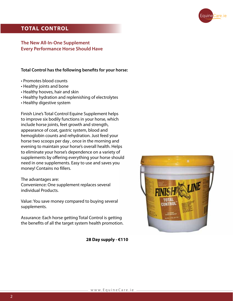

## **TOTAL CONTROL**

#### **The New All-In-One Supplement Every Performance Horse Should Have**

**Total Control has the following benefits for your horse:**

- Promotes blood counts
- Healthy joints and bone
- Healthy hooves, hair and skin
- Healthy hydration and replenishing of electrolytes
- Healthy digestive system

Finish Line's Total Control Equine Supplement helps to improve six bodily functions in your horse, which include horse joints, feet growth and strength, appearance of coat, gastric system, blood and hemoglobin counts and rehydration. Just feed your horse two scoops per day , once in the morning and evening to maintain your horse's overall health. Helps to eliminate your horse's dependence on a variety of supplements by offering everything your horse should need in one supplements. Easy to use and saves you money! Contains no fillers.

#### The advantages are:

Convenience: One supplement replaces several individual Products.

Value: You save money compared to buying several supplements.

Assurance: Each horse getting Total Control is getting the benefits of all the target system health promotion.



**28 Day supply - €110**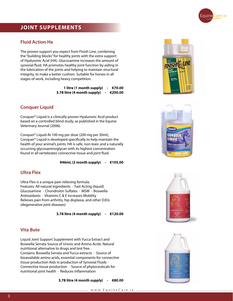

## **JOINT SUPPLEMENTS**

#### **Fluid Action Ha**

The proven support you expect from Finish Line, combining the "building blocks" for healthy joints with the extra support of Hyaluronic Acid (HA). Glucosamine increases the amount of synovial fluid. HA promotes healthy joint function by aiding in the lubrication of the joints and helping to maintain structural integrity, to make a better cushion. Suitable for horses in all stages of work, including heavy competition.

> **1 litre (1 month supply) - €70.00 3.78 litre (4 month supply) - €200.00**

#### **Conquer Liquid**

Conquer® Liquid is a clinically proven Hyaluronic Acid product based on a controlled blind study, as published in the Equine Veterinary Journal (2006).

Conquer® Liquid At 100 mg per dose (200 mg per 30ml), Conquer® Liquid is developed specifically to help maintain the health of your animal's joints. HA is safe, non-toxic and a naturally occurring glycosaminoglycan with its highest concentration found in all vertebrates' connective tissue and joint fluid.

 **946mL (2 month supply) - €105.00**

#### **Ultra Flex**

Ultra-Flex is a unique pain relieving formula. Features: All natural ingredients  $\cdot$  Fast Acting (liquid) Glucosamine · Chondroitin Sulfates · MSM · Boswella Antioxidants · Vitamins C & E Increases Mobility Relieves pain from arthritis, hip displasia, and other DJDs (degenerative joint diseases)

 **3.78 litre (4 month supply) - €120.00**

#### **Vita Bute**

Liquid Joint Support Supplement with Yucca Extract and Boswella Serrata Source of Uronic and Amino Acids. Natural nutritional alternative to drugs and test free. Contains: Boswella Serrata and Yucca extracts · Source of bioavailable amino acids, essential components for connective tissue production Aids in production of Synovial Fluids · Connective tissue production · Source of phytoceuticals for nutritional joint health · Reduces Inflammation

 **3.78 litre (4 month supply) - €80.00**







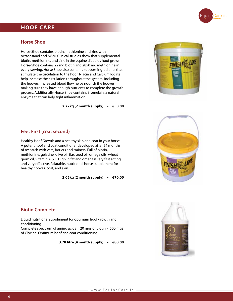

## **HOOF CARE**

#### **Horse Shoe**

Horse-Shoe contains biotin, methionine and zinc with octacosanol and MSM. Clinical studies show that supplemental biotin, methionine, and zinc in the equine diet aids hoof growth. Horse-Shoe contains 22 mg biotin and 2850 mg methionine in every serving. Horse Shoe also contains support ingredients that stimulate the circulation to the hoof. Niacin and Calcium Iodate help increase the circulation throughout the system, including the hooves. Increased blood flow helps nourish the hooves, making sure they have enough nutrients to complete the growth process. Additionally Horse Shoe contains Bromelain, a natural enzyme that can help fight inflammation.

 **2.27kg (2 month supply) - €50.00**



#### **Feet First (coat second)**

Healthy Hoof Growth and a healthy skin and coat in your horse. A potent hoof and coat conditioner developed after 24 months of research with vets, farriers and trainers. Full of biotin, methionine, gelatine, olive oil, flax seed oil, omega oils, wheat germ oil, Vitamin A & E. High in fat and omegas! Very fast acting and very effective. Palatable, nutritional horse supplement for healthy hooves, coat, and skin.

 **2.05kg (2 month supply) - €70.00**



#### **Biotin Complete**

Liquid nutritional supplement for optimum hoof growth and conditioning.

Complete spectrum of amino acids  $\cdot$  20 mgs of Biotin  $\cdot$  500 mgs of Glycine. Optimum hoof and coat conditioning.

**3.78 litre (4 month supply) - €80.00**

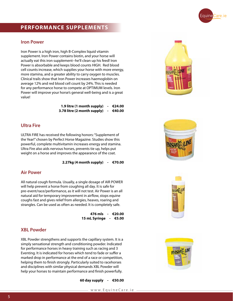

## **PERFORMANCE SUPPLEMENTS**

#### **Iron Power**

Iron Power is a high iron, high B-Complex liquid vitamin supplement. Iron Power contains biotin, and your horse will actually eat this iron supplement--he'll clean up his feed! Iron Power is absorbable and keeps blood counts HIGH. Red blood cell counts increase, which supplies your horse with more energy, more stamina, and a greater ability to carry oxygen to muscles. Clinical trails show that Iron Power increases haemoglobin on average 12% and red blood cell count by 24%. This is needed for any performance horse to compete at OPTIMUM levels. Iron Power will improve your horse's general well-being and is a great value!

> **1.9 litre (1 month supply) - €24.00 3.78 litre (2 month supply) - €40.00**

#### **Ultra Fire**

ULTRA FIRE has received the following honors: "Supplement of the Year!" chosen by Perfect Horse Magazine. Studies show this powerful, complete multivitamin increases energy and stamina. Ultra Fire also aids nervous horses, prevents tie up, helps put weight on a horse and improves the appearance of the coat.

 **2.27kg (4 month supply) - €70.00**

#### **Air Power**

All natural cough formula. Usually, a single dosage of AIR POWER will help prevent a horse from coughing all day. It is safe for pre-event/race/performance, as it will not test. Air Power is an all natural aid for temporary improvement in airflow, stops equine coughs fast and gives relief from allergies, heaves, roaring and strangles. Can be used as often as needed. It is completely safe.

> **476 mls - €20.00 15 mL Syringe - €5.00**

#### **XBL Powder**

XBL Powder strengthens and supports the capillary system. It is a simply sensational strength and conditioning powder. Indicated for performance horses in heavy training such as racing and 3 Eventing. It is indicated for horses which tend to fade or suffer a marked drop in performance at the end of a race or competition, helping them to finish strongly. Particularly suited to racehorses and disciplines with similar physical demands XBL Powder will help your horses to maintain performance and finish powerfully.

 **60 day supply - €50.00**







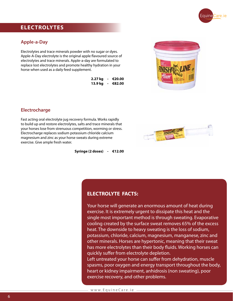

## **ELECTROLYTES**

#### **Apple-a-Day**

Electrolytes and trace minerals powder with no sugar or dyes. Apple-A-Day electrolyte is the original apple flavoured source of electrolytes and trace minerals. Apple-a-day are formulated to replace lost electrolytes and promote healthy hydration in your horse when used as a daily feed supplement.

| 2.27 kg - €20.00 |  |
|------------------|--|
| 13.9 kg - €82.00 |  |



#### **Electrocharge**

Fast acting oral electrolyte jug recovery formula. Works rapidly to build up and restore electrolytes, salts and trace minerals that your horses lose from strenuous competition, worming or stress. Electrocharge replaces sodium potassium chloride calcium magnesium and zinc as your horse sweats during extreme exercise. Give ample fresh water.



 **Syringe (2 doses) - €12.00**

#### **ELECTROLYTE FACTS:**

Your horse will generate an enormous amount of heat during exercise. It is extremely urgent to dissipate this heat and the single most important method is through sweating. Evaporative cooling created by the surface sweat removes 65% of the excess heat. The downside to heavy sweating is the loss of sodium, potassium, chloride, calcium, magnesium, manganese, zinc and other minerals. Horses are hypertonic, meaning that their sweat has more electrolytes than their body fluids. Working horses can quickly suffer from electrolyte depletion.

Left untreated your horse can suffer from dehydration, muscle spasms, poor oxygen and energy transport throughout the body, heart or kidney impairment, anhidrosis (non sweating), poor exercise recovery, and other problems.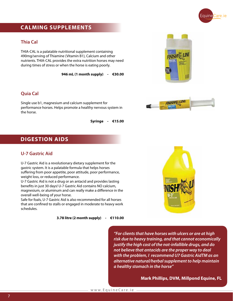

## **CALMING SUPPLEMENTS**

#### **Thia Cal**

THIA-CAL is a palatable nutritional supplement containing 490mg/serving of Thiamine (Vitamin B1), Calcium and other nutrients. THIA-CAL provides the extra nutrition horses may need during times of stress or when the horse is eating poorly.

 **946 mL (1 month supply) - €30.00**

#### **Quia Cal**

Single use b1, magnesium and calcium supplement for performance horses. Helps promote a healthy nervous system in the horse.

 **Syringe - €15.00**





## **DIGESTION AIDS**

#### **U-7 Gastric Aid**

U-7 Gastric Aid is a revolutionary dietary supplement for the gastric system. It is a palatable formula that helps horses suffering from poor appetite, poor attitude, poor performance, weight loss, or reduced performance.

U-7 Gastric Aid is not a drug or an antacid and provides lasting benefits in just 30 days! U-7 Gastric Aid contains NO calcium, magnesium, or aluminum and can really make a difference in the overall well-being of your horse.

Safe for foals, U-7 Gastric Aid is also recommended for all horses that are confined to stalls or engaged in moderate to heavy work schedules.

 **3.78 litre (2 month supply) - €110.00**



*"For clients that have horses with ulcers or are at high risk due to heavy training, and that cannot economically justify the high cost of the not-infallible drugs, and do not believe that antacids are the proper way to deal with the problem, I recommend U7 Gastric AidTM as an alternative natural/herbal supplement to help maintain a healthy stomach in the horse"*

**Mark Phillips, DVM, Millpond Equine, FL**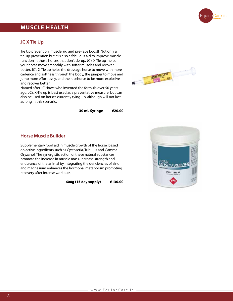

## **MUSCLE HEALTH**

#### **JC X Tie Up**

Tie Up prevention, muscle aid and pre-race boost! Not only a tie-up prevention but it is also a fabulous aid to improve muscle function in those horses that don't tie-up. JC's X-Tie up helps your horse move smoothly with softer muscles and recover better. JC's X-Tie up helps the dressage horse to move with more cadence and softness through the body, the jumper to move and jump more effortlessly, and the racehorse to be more explosive and recover better.

Named after JC Howe who invented the formula over 50 years ago, JC's X-Tie up is best used as a preventative measure, but can also be used on horses currently tying-up, although will not last as long in this scenario.



 **30 mL Syringe - €20.00**

#### **Horse Muscle Builder**

Supplementary food aid in muscle growth of the horse, based on active ingredients such as Cystoseria, Tribulus and Gamma Oryzanol. The synergistic action of these natural substances promote the increase in muscle mass, increase strength and endurance of the animal by integrating the deficiencies of zinc and magnesium enhances the hormonal metabolism promoting recovery after intense workouts.

 **600g (15 day supply) - €130.00**

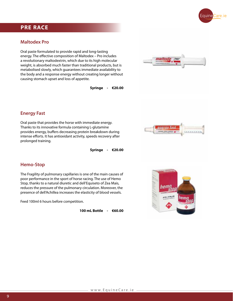

## **PRE RACE**

#### **Maltodex Pro**

Oral paste formulated to provide rapid and long-lasting energy. The effective composition of Maltodex – Pro includes a revolutionary maltodextrin, which due to its high molecular weight, is absorbed much faster than traditional products, but is metabolised slowly, which guarantees immediate availability to the body and a response energy without creating longer without causing stomach upset and loss of appetite.

 **Syringe - €20.00**



energy fast

IARRWRK

#### **Energy Fast**

Oral paste that provides the horse with immediate energy. Thanks to its innovative formula containing L-glutamine provides energy, buffers decreasing protein breakdown during intense efforts. It has antioxidant activity, speeds recovery after prolonged training.

 **Syringe - €20.00**

#### **Hemo-Stop**

The Fragility of pulmonary capillaries is one of the main causes of poor performance in the sport of horse racing. The use of Hemo Stop, thanks to a natural diuretic and dell'Equiseto of Zea Mais, reduces the pressure of the pulmonary circulation. Moreover, the presence of dell'Achillea increases the elasticity of blood vessels.

Feed 100ml 6 hours before competition.

 **100 mL Bottle - €60.00**

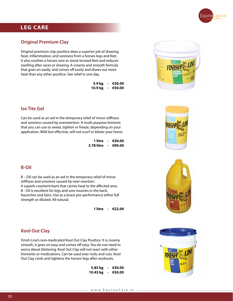

## **LEG CARE**

#### **Original Premium Clay**

Original premium clay poultice does a superior job of drawing heat, inflammation, and soreness from a horses legs and feet. It also soothes a horses sore or stone bruised feet and reduces swelling after races or shoeing. A creamy and smooth formula that goes on easily, and comes off easily and draws out more heat than any other poultice. See relief in one day.

|  | 5.9 kg - €30.00  |
|--|------------------|
|  | 10.9 kg - €50.00 |

#### **Iso Tite Gel**

Can be used as an aid in the temporary relief of minor stiffness and soreness caused by overexertion. A multi-purpose liniment that you can use to sweat, tighten or freeze, depending on your application. Mild but effective, will not scurf or blister your horse.

> **1 litre - €30.00 3.78 litre - €90.00**

#### **B-Oil**

B – Oil can be used as an aid in the temporary relief of minor stiffness and soreness caused by over-exertion. A superb counterirritant that carries heat to the affected area. B - Oil is excellent for legs and sore muscles in the back, haunches and loins. Use as a brace pre-performance either full strength or diluted. All natural.

 **1 litre - €22.00**



Finish Line's non-medicated Kool Out Clay Poultice. It is creamy smooth, it goes on easy and comes off easy. You do not need to worry about blistering. Kool Out Clay will not react with other liniments or medications. Can be used over nicks and cuts. Kool Out Clay cools and tightens the horses' legs after workouts.

> **5.85 kg - €30.00 10.43 kg - €50.00**







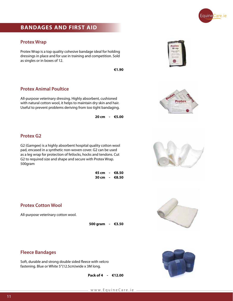

## **BANDAGES AND FIRST AID**

#### **Protex Wrap**

Protex Wrap is a top quality cohesive bandage ideal for holding dressings in place and for use in training and competition. Sold as singles or in boxes of 12.

 **€1.90**

#### **Protex Animal Poultice**

All-purpose veterinary dressing. Highly absorbent, cushioned with natural cotton wool, it helps to maintain dry skin and hair. Useful to prevent problems deriving from too tight bandaging.

 **20 cm - €5.00**

#### **Protex G2**

G2 (Gamgee) is a highly absorbent hospital quality cotton wool pad, encased in a synthetic non-woven cover. G2 can be used as a leg wrap for protection of fetlocks, hocks and tendons. Cut G2 to required size and shape and secure with Protex Wrap. 500gram

> **45 cm - €8.50 30 cm - €8.50**

#### **Protex Cotton Wool**

All-purpose veterinary cotton wool.

 **500 gram - €3.50**



**Fleece Bandages**

Soft, durable and strong double sided fleece with velcro fastening. Blue or White 5"(12.5cm)wide x 3M long.

 **Pack of 4 - €12.00**



roter Wrap



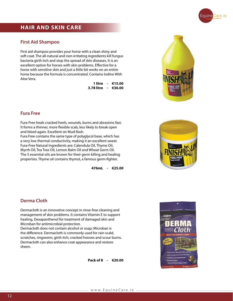

## **HAIR AND SKIN CARE**

#### **First Aid Shampoo**

First aid shampoo provides your horse with a clean shiny and soft coat. The all-natural and non-irritating ingredients kill fungus bacteria girth itch and stop the spread of skin diseases. It is an excellent option for horses with skin problems. Effective for a horse with sensitive skin and just a little bit works on an entire horse because the formula is concentrated. Contains Iodine With Aloe Vera.

> **1 litre - €15.00 3.78 litre - €36.00**



#### **Fura Free**

Fura-Free heals cracked heels, wounds, burns and abrasions fast. It forms a thinner, more flexible scab, less likely to break open and bleed again. Excellent on Mud Rash.

Fura Free contains the same type of polyglycol base, which has a very low thermal conductivity, making it an excellent sweat. Fura-Free Natural Ingredients are: Calendula Oil, Thyme Oil, Myrrh Oil, Tea Tree Oil, Lemon Balm Oil and Wheat Germ Oil. The 5 essential oils are known for their germ killing and healing properties. Thyme oil contains thymol, a famous germ-fighter.

 **476mL - €25.00**



#### **Derma Cloth**

Dermacloth is an innovative concept in rinse-free cleaning and management of skin problems. It contains Vitamin E to support healing, Dexapanthenol for treatment of damaged skin and Microban for antimicrobial protection.

Dermacloth does not contain alcohol or soap; Microban is the difference. Dermacloth is commonly used for rain scald, scratches, ringworm, girth itch, cracked hooves and scour burns. Dermacloth can also enhance coat appearance and restore sheen.

**Pack of 8 - €20.00**

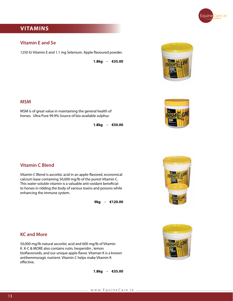

## **VITAMINS**

#### **Vitamin E and Se**

1250 IU Vitamin E and 1.1 mg Selenium. Apple flavoured powder.

 **1.8kg - €35.00**





#### **MSM**

MSM is of great value in maintaining the general health of horses. Ultra Pure 99.9% Source of bio-available sulphur.

 **1.8kg - €50.00**

#### **Vitamin C Blend**

Vitamin C Blend is ascorbic acid in an apple-flavored, economical calcium base containing 50,000 mg/lb of the purest Vitamin C. This water-soluble vitamin is a valuable anti-oxidant beneficial to horses in ridding the body of various toxins and poisons while enhancing the immune system.

 **9kg - €120.00**





#### **KC and More**

50,000 mg/lb natural ascorbic acid and 600 mg/lb of Vitamin K. K-C & MORE also contains rutin, hesperidin , lemon bioflavonoids, and our unique apple flavor. Vitaman K is a known antihemmoragic nutrient. Vitamin C helps make Vitamin K effective.

 **1.8kg - €35.00**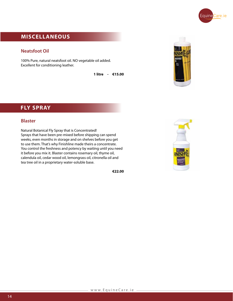

## **MISCELLANEOUS**

#### **Neatsfoot Oil**

100% Pure, natural neatsfoot oil. NO vegetable oil added. Excellent for conditioning leather.

 **1 litre - €15.00**



## **FLY SPRAY**

#### **Blaster**

Natural Botanical Fly Spray that is Concentrated! Sprays that have been pre-mixed before shipping can spend weeks, even months in storage and on shelves before you get to use them. That's why Finishline made theirs a concentrate. You control the freshness and potency by waiting until you need it before you mix it. Blaster contains rosemary oil, thyme oil, calendula oil, cedar wood oil, lemongrass oil, citronella oil and tea tree oil in a proprietary water-soluble base.

 **€22.00**